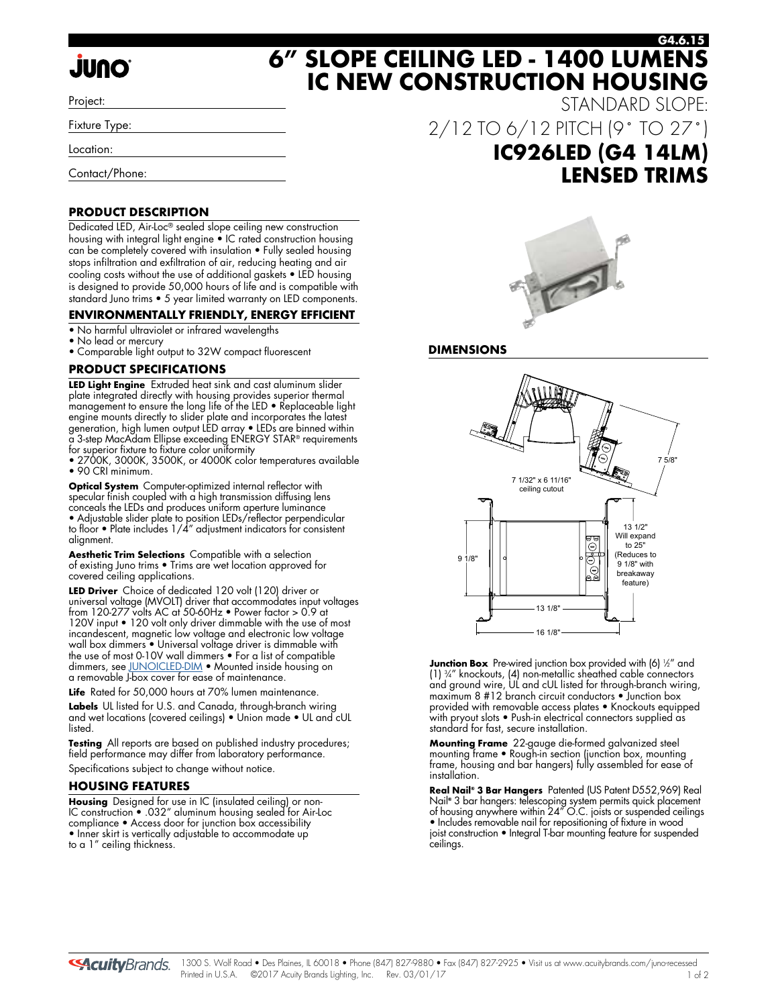# **JUNO**

Project:

Fixture Type:

Location:

Contact/Phone:

## **PRODUCT DESCRIPTION**

Dedicated LED, Air-Loc® sealed slope ceiling new construction housing with integral light engine • IC rated construction housing can be completely covered with insulation • Fully sealed housing stops infiltration and exfiltration of air, reducing heating and air cooling costs without the use of additional gaskets • LED housing is designed to provide 50,000 hours of life and is compatible with standard Juno trims • 5 year limited warranty on LED components.

## **ENVIRONMENTALLY FRIENDLY, ENERGY EFFICIENT**

- No harmful ultraviolet or infrared wavelengths
- No lead or mercury
- Comparable light output to 32W compact fluorescent

## **PRODUCT SPECIFICATIONS**

**LED Light Engine** Extruded heat sink and cast aluminum slider plate integrated directly with housing provides superior thermal management to ensure the long life of the LED • Replaceable light engine mounts directly to slider plate and incorporates the latest generation, high lumen output LED array • LEDs are binned within a 3-step MacAdam Ellipse exceeding ENERGY STAR® requirements for superior fixture to fixture color uniformity

• 2700K, 3000K, 3500K, or 4000K color temperatures available • 90 CRI minimum.

**Optical System** Computer-optimized internal reflector with specular finish coupled with a high transmission diffusing lens conceals the LEDs and produces uniform aperture luminance

• Adjustable slider plate to position LEDs/reflector perpendicular to floor • Plate includes 1/4" adjustment indicators for consistent alignment.

**Aesthetic Trim Selections** Compatible with a selection of existing Juno trims • Trims are wet location approved for covered ceiling applications.

**LED Driver** Choice of dedicated 120 volt (120) driver or universal voltage (MVOLT) driver that accommodates input voltages from 120-277 volts AC at 50-60Hz • Power factor > 0.9 at 120V input • 120 volt only driver dimmable with the use of most incandescent, magnetic low voltage and electronic low voltage wall box dimmers • Universal voltage driver is dimmable with the use of most 0-10V wall dimmers • For a list of compatible dimmers, se[e JUNOICLED-DIM •](http://www.acuitybrands.com/shell/-/media/Files/Acuity/Other/JUNOICLED-DIM.pdf) Mounted inside housing on a removable J-box cover for ease of maintenance.

**Life** Rated for 50,000 hours at 70% lumen maintenance.

**Labels** UL listed for U.S. and Canada, through-branch wiring and wet locations (covered ceilings) • Union made • UL and cUL listed.

**Testing** All reports are based on published industry procedures; field performance may differ from laboratory performance.

Specifications subject to change without notice.

## **HOUSING FEATURES**

**Housing** Designed for use in IC (insulated ceiling) or non-IC construction • .032" aluminum housing sealed for Air-Loc compliance • Access door for junction box accessibility • Inner skirt is vertically adjustable to accommodate up to a 1" ceiling thickness.

STANDARD SLOPE: 2/12 TO 6/12 PITCH (9˚ TO 27˚) **IC926LED (G4 14LM) LENSED TRIMS**

**IC NEW CONSTRUCTION HOUSING**



## **DIMENSIONS**



**Junction Box** Pre-wired junction box provided with (6) ½" and (1) 3 ⁄4" knockouts, (4) non-metallic sheathed cable connectors and ground wire, UL and cUL listed for through-branch wiring, maximum 8 #12 branch circuit conductors • Junction box provided with removable access plates • Knockouts equipped with pryout slots • Push-in electrical connectors supplied as standard for fast, secure installation.

**Mounting Frame** 22-gauge die-formed galvanized steel mounting frame • Rough-in section (junction box, mounting frame, housing and bar hangers) fully assembled for ease of installation.

**Real Nail® 3 Bar Hangers** Patented (US Patent D552,969) Real Nail**®** 3 bar hangers: telescoping system permits quick placement of housing anywhere within 24" O.C. joists or suspended ceilings • Includes removable nail for repositioning of fixture in wood joist construction • Integral T-bar mounting feature for suspended ceilings.

**SAcuity** Brands.

## **6" SLOPE CEILING LED - 1400 LUMENS G4.6.15**